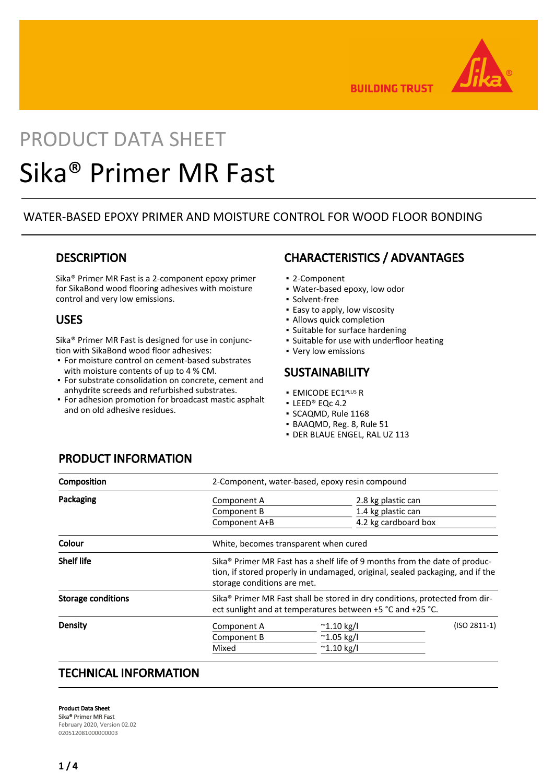

**BUILDING TRUST** 

# PRODUCT DATA SHEET Sika® Primer MR Fast

## WATER-BASED EPOXY PRIMER AND MOISTURE CONTROL FOR WOOD FLOOR BONDING

## **DESCRIPTION**

Sika® Primer MR Fast is a 2-component epoxy primer for SikaBond wood flooring adhesives with moisture control and very low emissions.

## USES

Sika® Primer MR Fast is designed for use in conjunction with SikaBond wood floor adhesives:

- For moisture control on cement-based substrates with moisture contents of up to 4 % CM.
- For substrate consolidation on concrete, cement and anhydrite screeds and refurbished substrates.
- **For adhesion promotion for broadcast mastic asphalt** and on old adhesive residues.

## CHARACTERISTICS / ADVANTAGES

- 2-Component
- Water-based epoxy, low odor
- Solvent-free
- **Easy to apply, low viscosity**
- Allows quick completion
- Suitable for surface hardening
- Suitable for use with underfloor heating
- Very low emissions

### **SUSTAINABILITY**

- **EMICODE EC1PLUS R**
- LEED® EQc 4.2
- SCAQMD, Rule 1168
- BAAQMD, Reg. 8, Rule 51
- DER BLAUE ENGEL, RAL UZ 113

# PRODUCT INFORMATION

| Composition               | 2-Component, water-based, epoxy resin compound                                                                                                                                                         |                      |                    |  |
|---------------------------|--------------------------------------------------------------------------------------------------------------------------------------------------------------------------------------------------------|----------------------|--------------------|--|
| Packaging                 | Component A                                                                                                                                                                                            |                      | 2.8 kg plastic can |  |
|                           | Component B                                                                                                                                                                                            | 1.4 kg plastic can   |                    |  |
|                           | Component A+B                                                                                                                                                                                          | 4.2 kg cardboard box |                    |  |
| Colour                    | White, becomes transparent when cured                                                                                                                                                                  |                      |                    |  |
| <b>Shelf life</b>         | Sika <sup>®</sup> Primer MR Fast has a shelf life of 9 months from the date of produc-<br>tion, if stored properly in undamaged, original, sealed packaging, and if the<br>storage conditions are met. |                      |                    |  |
| <b>Storage conditions</b> | Sika® Primer MR Fast shall be stored in dry conditions, protected from dir-<br>ect sunlight and at temperatures between +5 °C and +25 °C.                                                              |                      |                    |  |
| Density                   | Component A                                                                                                                                                                                            | $^{\sim}$ 1.10 kg/l  | $(ISO 2811-1)$     |  |
|                           | Component B                                                                                                                                                                                            | $^{\sim}$ 1.05 kg/l  |                    |  |
|                           | Mixed                                                                                                                                                                                                  | $^{\sim}$ 1.10 kg/l  |                    |  |
|                           |                                                                                                                                                                                                        |                      |                    |  |

## TECHNICAL INFORMATION

Product Data Sheet Sika® Primer MR Fast February 2020, Version 02.02 020512081000000003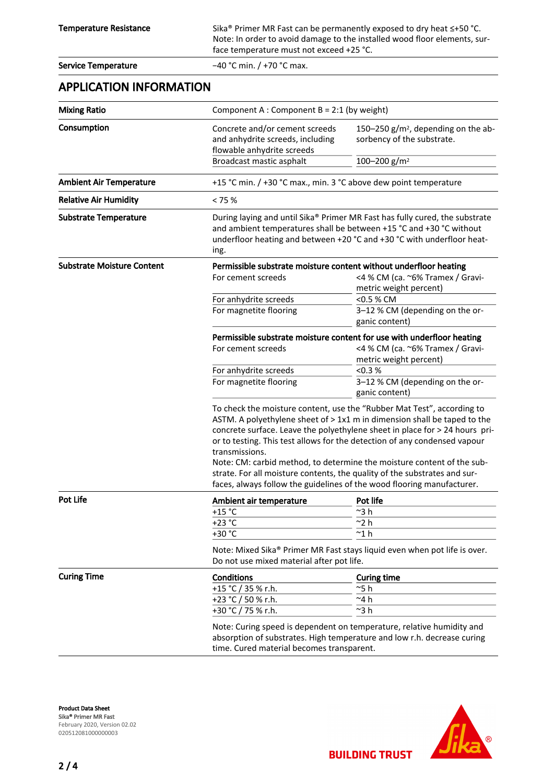Temperature Resistance Sika® Primer MR Fast can be permanently exposed to dry heat ≤+50 °C. Note: In order to avoid damage to the installed wood floor elements, surface temperature must not exceed +25 °C.

| <b>Service Temperature</b>        | $-40$ °C min. / +70 °C max.                                                                                                                                                                                                                                                                                                                                                                                                                                                                                                                                       |                                                                                                                                      |  |
|-----------------------------------|-------------------------------------------------------------------------------------------------------------------------------------------------------------------------------------------------------------------------------------------------------------------------------------------------------------------------------------------------------------------------------------------------------------------------------------------------------------------------------------------------------------------------------------------------------------------|--------------------------------------------------------------------------------------------------------------------------------------|--|
| <b>APPLICATION INFORMATION</b>    |                                                                                                                                                                                                                                                                                                                                                                                                                                                                                                                                                                   |                                                                                                                                      |  |
| <b>Mixing Ratio</b>               | Component A : Component B = 2:1 (by weight)                                                                                                                                                                                                                                                                                                                                                                                                                                                                                                                       |                                                                                                                                      |  |
| Consumption                       | Concrete and/or cement screeds<br>and anhydrite screeds, including<br>flowable anhydrite screeds                                                                                                                                                                                                                                                                                                                                                                                                                                                                  | 150-250 g/m <sup>2</sup> , depending on the ab-<br>sorbency of the substrate.                                                        |  |
|                                   | Broadcast mastic asphalt                                                                                                                                                                                                                                                                                                                                                                                                                                                                                                                                          | 100-200 g/m <sup>2</sup>                                                                                                             |  |
| <b>Ambient Air Temperature</b>    | +15 °C min. / +30 °C max., min. 3 °C above dew point temperature                                                                                                                                                                                                                                                                                                                                                                                                                                                                                                  |                                                                                                                                      |  |
| <b>Relative Air Humidity</b>      | < 75%                                                                                                                                                                                                                                                                                                                                                                                                                                                                                                                                                             |                                                                                                                                      |  |
| <b>Substrate Temperature</b>      | During laying and until Sika® Primer MR Fast has fully cured, the substrate<br>and ambient temperatures shall be between +15 °C and +30 °C without<br>underfloor heating and between +20 °C and +30 °C with underfloor heat-<br>ing.                                                                                                                                                                                                                                                                                                                              |                                                                                                                                      |  |
| <b>Substrate Moisture Content</b> | Permissible substrate moisture content without underfloor heating<br>For cement screeds                                                                                                                                                                                                                                                                                                                                                                                                                                                                           | <4 % CM (ca. ~6% Tramex / Gravi-                                                                                                     |  |
|                                   | For anhydrite screeds<br>For magnetite flooring                                                                                                                                                                                                                                                                                                                                                                                                                                                                                                                   | metric weight percent)<br><0.5 % CM<br>3-12 % CM (depending on the or-<br>ganic content)                                             |  |
|                                   | For cement screeds                                                                                                                                                                                                                                                                                                                                                                                                                                                                                                                                                | Permissible substrate moisture content for use with underfloor heating<br><4 % CM (ca. ~6% Tramex / Gravi-<br>metric weight percent) |  |
|                                   | For anhydrite screeds                                                                                                                                                                                                                                                                                                                                                                                                                                                                                                                                             | < 0.3 %                                                                                                                              |  |
|                                   | For magnetite flooring                                                                                                                                                                                                                                                                                                                                                                                                                                                                                                                                            | 3-12 % CM (depending on the or-<br>ganic content)                                                                                    |  |
|                                   | To check the moisture content, use the "Rubber Mat Test", according to<br>ASTM. A polyethylene sheet of > 1x1 m in dimension shall be taped to the<br>concrete surface. Leave the polyethylene sheet in place for > 24 hours pri-<br>or to testing. This test allows for the detection of any condensed vapour<br>transmissions.<br>Note: CM: carbid method, to determine the moisture content of the sub-<br>strate. For all moisture contents, the quality of the substrates and sur-<br>faces, always follow the guidelines of the wood flooring manufacturer. |                                                                                                                                      |  |
| <b>Pot Life</b>                   | Ambient air temperature                                                                                                                                                                                                                                                                                                                                                                                                                                                                                                                                           | Pot life                                                                                                                             |  |
|                                   | $+15$ °C                                                                                                                                                                                                                                                                                                                                                                                                                                                                                                                                                          | ~3 h                                                                                                                                 |  |
|                                   | $+23 °C$                                                                                                                                                                                                                                                                                                                                                                                                                                                                                                                                                          | $^{\sim}$ 2 h                                                                                                                        |  |
|                                   | +30 °C                                                                                                                                                                                                                                                                                                                                                                                                                                                                                                                                                            | $^{\sim}$ 1 $h$                                                                                                                      |  |
|                                   | Note: Mixed Sika® Primer MR Fast stays liquid even when pot life is over.<br>Do not use mixed material after pot life.                                                                                                                                                                                                                                                                                                                                                                                                                                            |                                                                                                                                      |  |
| <b>Curing Time</b>                | <b>Conditions</b>                                                                                                                                                                                                                                                                                                                                                                                                                                                                                                                                                 | <b>Curing time</b>                                                                                                                   |  |
|                                   | +15 °C / 35 % r.h.                                                                                                                                                                                                                                                                                                                                                                                                                                                                                                                                                | $^{\sim}$ 5 h                                                                                                                        |  |
|                                   | +23 °C / 50 % r.h.                                                                                                                                                                                                                                                                                                                                                                                                                                                                                                                                                | $~^{\sim}$ 4 h                                                                                                                       |  |
|                                   | +30 °C / 75 % r.h.                                                                                                                                                                                                                                                                                                                                                                                                                                                                                                                                                | $~^{\sim}3~$ h                                                                                                                       |  |
|                                   | Note: Curing speed is dependent on temperature, relative humidity and<br>absorption of substrates. High temperature and low r.h. decrease curing<br>time. Cured material becomes transparent.                                                                                                                                                                                                                                                                                                                                                                     |                                                                                                                                      |  |

Product Data Sheet Sika® Primer MR Fast February 2020, Version 02.02 020512081000000003



**BUILDING TRUST**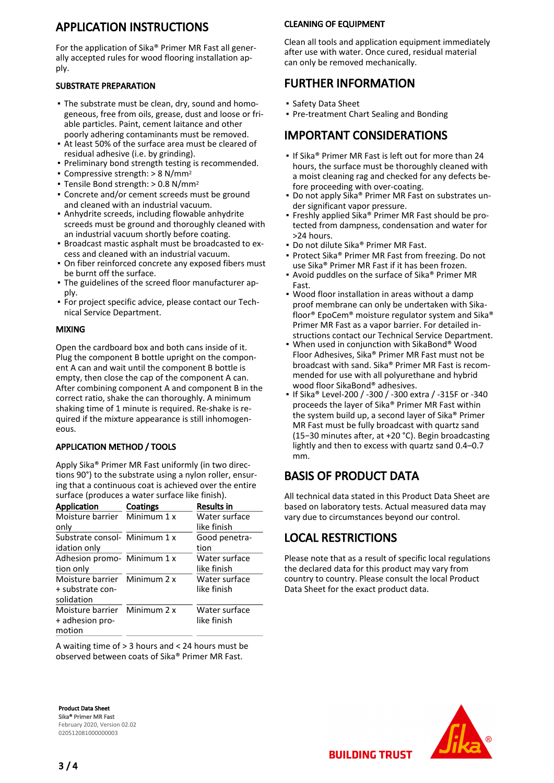# APPLICATION INSTRUCTIONS

For the application of Sika® Primer MR Fast all generally accepted rules for wood flooring installation apply.

#### SUBSTRATE PREPARATION

- The substrate must be clean, dry, sound and homo-▪ geneous, free from oils, grease, dust and loose or friable particles. Paint, cement laitance and other poorly adhering contaminants must be removed.
- At least 50% of the surface area must be cleared of residual adhesive (i.e. by grinding).
- Preliminary bond strength testing is recommended.
- Compressive strength:  $> 8$  N/mm<sup>2</sup>
- $\blacksquare$  Tensile Bond strength: > 0.8 N/mm<sup>2</sup>
- **Concrete and/or cement screeds must be ground** and cleaned with an industrial vacuum.
- **-** Anhydrite screeds, including flowable anhydrite screeds must be ground and thoroughly cleaned with an industrial vacuum shortly before coating.
- **Broadcast mastic asphalt must be broadcasted to ex**cess and cleaned with an industrial vacuum.
- On fiber reinforced concrete any exposed fibers must be burnt off the surface.
- The guidelines of the screed floor manufacturer ap-▪ ply.
- **For project specific advice, please contact our Tech**nical Service Department.

#### MIXING

Open the cardboard box and both cans inside of it. Plug the component B bottle upright on the component A can and wait until the component B bottle is empty, then close the cap of the component A can. After combining component A and component B in the correct ratio, shake the can thoroughly. A minimum shaking time of 1 minute is required. Re-shake is required if the mixture appearance is still inhomogeneous.

#### APPLICATION METHOD / TOOLS

Apply Sika® Primer MR Fast uniformly (in two directions 90°) to the substrate using a nylon roller, ensuring that a continuous coat is achieved over the entire surface (produces a water surface like finish).

| <b>Application</b>            | Coatings | <b>Results in</b> |
|-------------------------------|----------|-------------------|
| Moisture barrier Minimum 1 x  |          | Water surface     |
| only                          |          | like finish       |
| Substrate consol- Minimum 1 x |          | Good penetra-     |
| idation only                  |          | tion              |
| Adhesion promo- Minimum 1 x   |          | Water surface     |
| tion only                     |          | like finish       |
| Moisture barrier Minimum 2 x  |          | Water surface     |
| + substrate con-              |          | like finish       |
| solidation                    |          |                   |
| Moisture barrier Minimum 2 x  |          | Water surface     |
| + adhesion pro-               |          | like finish       |
| motion                        |          |                   |

A waiting time of > 3 hours and < 24 hours must be observed between coats of Sika® Primer MR Fast.

#### CLEANING OF EQUIPMENT

Clean all tools and application equipment immediately after use with water. Once cured, residual material can only be removed mechanically.

## FURTHER INFORMATION

- Safety Data Sheet
- Pre-treatment Chart Sealing and Bonding

# IMPORTANT CONSIDERATIONS

- **.** If Sika® Primer MR Fast is left out for more than 24 hours, the surface must be thoroughly cleaned with a moist cleaning rag and checked for any defects before proceeding with over-coating.
- Do not apply Sika® Primer MR Fast on substrates under significant vapor pressure.
- Freshly applied Sika® Primer MR Fast should be protected from dampness, condensation and water for >24 hours.
- Do not dilute Sika® Primer MR Fast.
- Protect Sika® Primer MR Fast from freezing. Do not use Sika® Primer MR Fast if it has been frozen.
- Avoid puddles on the surface of Sika® Primer MR Fast.
- Wood floor installation in areas without a damp proof membrane can only be undertaken with Sikafloor® EpoCem® moisture regulator system and Sika® Primer MR Fast as a vapor barrier. For detailed instructions contact our Technical Service Department.
- When used in conjunction with SikaBond® Wood Floor Adhesives, Sika® Primer MR Fast must not be broadcast with sand. Sika® Primer MR Fast is recommended for use with all polyurethane and hybrid wood floor SikaBond® adhesives. ▪
- If Sika® Level-200 / -300 / -300 extra / -315F or -340 proceeds the layer of Sika® Primer MR Fast within the system build up, a second layer of Sika® Primer MR Fast must be fully broadcast with quartz sand (15−30 minutes after, at +20 °C). Begin broadcasting lightly and then to excess with quartz sand 0.4–0.7 mm.

# BASIS OF PRODUCT DATA

All technical data stated in this Product Data Sheet are based on laboratory tests. Actual measured data may vary due to circumstances beyond our control.

# LOCAL RESTRICTIONS

Please note that as a result of specific local regulations the declared data for this product may vary from country to country. Please consult the local Product Data Sheet for the exact product data.

Product Data Sheet Sika® Primer MR Fast February 2020, Version 02.02 020512081000000003



**BUILDING TRUST**